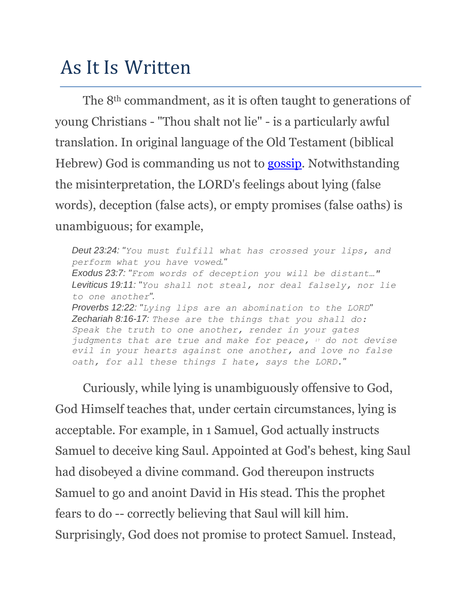## As It Is Written

The 8th commandment, as it is often taught to generations of young Christians - "Thou shalt not lie" - is a particularly awful translation. In original language of the Old Testament (biblical Hebrew) God is commanding us not to [gossip.](http://thussaidthelord.com/the-ninth-commandment/) Notwithstanding the misinterpretation, the LORD's feelings about lying (false words), deception (false acts), or empty promises (false oaths) is unambiguous; for example,

*Deut 23:24: "You must fulfill what has crossed your lips, and perform what you have vowed." Exodus 23:7: "From words of deception you will be distant…" Leviticus 19:11: "You shall not steal, nor deal falsely, nor lie to one another". Proverbs 12:22: "Lying lips are an abomination to the LORD" Zechariah 8:16-17: These are the things that you shall do: Speak the truth to one another, render in your gates judgments that are true and make for peace, <sup>17</sup> do not devise evil in your hearts against one another, and love no false oath, for all these things I hate, says the LORD."*

Curiously, while lying is unambiguously offensive to God, God Himself teaches that, under certain circumstances, lying is acceptable. For example, in 1 Samuel, God actually instructs Samuel to deceive king Saul. Appointed at God's behest, king Saul had disobeyed a divine command. God thereupon instructs Samuel to go and anoint David in His stead. This the prophet fears to do -- correctly believing that Saul will kill him. Surprisingly, God does not promise to protect Samuel. Instead,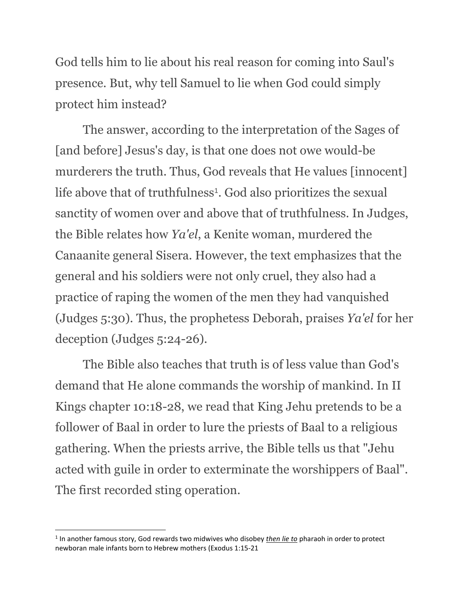God tells him to lie about his real reason for coming into Saul's presence. But, why tell Samuel to lie when God could simply protect him instead?

The answer, according to the interpretation of the Sages of [and before] Jesus's day, is that one does not owe would-be murderers the truth. Thus, God reveals that He values [innocent] life above that of truthfulness<sup>1</sup>. God also prioritizes the sexual sanctity of women over and above that of truthfulness. In Judges, the Bible relates how *Ya'el*, a Kenite woman, murdered the Canaanite general Sisera. However, the text emphasizes that the general and his soldiers were not only cruel, they also had a practice of raping the women of the men they had vanquished (Judges 5:30). Thus, the prophetess Deborah, praises *Ya'el* for her deception (Judges 5:24-26).

The Bible also teaches that truth is of less value than God's demand that He alone commands the worship of mankind. In II Kings chapter 10:18-28, we read that King Jehu pretends to be a follower of Baal in order to lure the priests of Baal to a religious gathering. When the priests arrive, the Bible tells us that "Jehu acted with guile in order to exterminate the worshippers of Baal". The first recorded sting operation.

l

<sup>1</sup> In another famous story, God rewards two midwives who disobey *then lie to* pharaoh in order to protect newboran male infants born to Hebrew mothers (Exodus 1:15-21